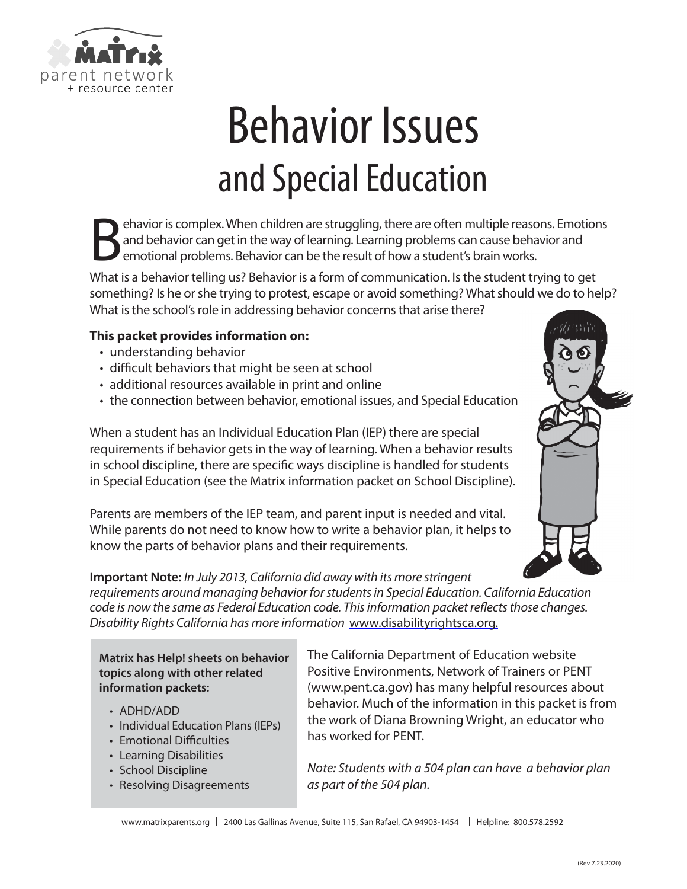

# Behavior Issues and Special Education

Experiences and behavior can get in the way of learning. Learning problems can cause behavior and emotional problems. Behavior can be the result of how a student's brain works. and behavior can get in the way of learning. Learning problems can cause behavior and emotional problems. Behavior can be the result of how a student's brain works.

What is a behavior telling us? Behavior is a form of communication. Is the student trying to get something? Is he or she trying to protest, escape or avoid something? What should we do to help? What is the school's role in addressing behavior concerns that arise there?

### **This packet provides information on:**

- understanding behavior
- difficult behaviors that might be seen at school
- additional resources available in print and online
- the connection between behavior, emotional issues, and Special Education

When a student has an Individual Education Plan (IEP) there are special requirements if behavior gets in the way of learning. When a behavior results in school discipline, there are specific ways discipline is handled for students in Special Education (see the Matrix information packet on School Discipline).

Parents are members of the IEP team, and parent input is needed and vital. While parents do not need to know how to write a behavior plan, it helps to know the parts of behavior plans and their requirements.



**Important Note:** *In July 2013, California did away with its more stringent requirements around managing behavior for students in Special Education. California Education code is now the same as Federal Education code. This information packet reflects those changes. Disability Rights California has more information* [www.disabilityrightsca.org.](https://www.disabilityrightsca.org/)

**Matrix has Help! sheets on behavior topics along with other related information packets:**

- ADHD/ADD
- Individual Education Plans (IEPs)
- Emotional Difficulties
- Learning Disabilities
- School Discipline
- Resolving Disagreements

The California Department of Education website Positive Environments, Network of Trainers or PENT [\(www.pent.ca.gov\)](http://www.pent.ca.gov) has many helpful resources about behavior. Much of the information in this packet is from the work of Diana Browning Wright, an educator who has worked for PENT.

*Note: Students with a 504 plan can have a behavior plan as part of the 504 plan.*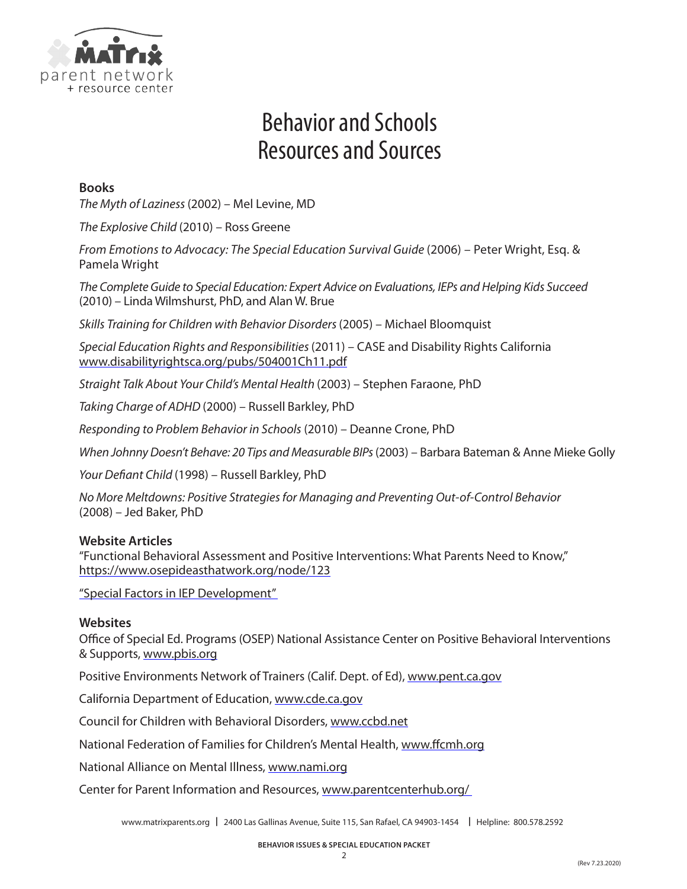

# Behavior and Schools Resources and Sources

### **Books**

*The Myth of Laziness* (2002) – Mel Levine, MD

*The Explosive Child* (2010) – Ross Greene

*From Emotions to Advocacy: The Special Education Survival Guide* (2006) – Peter Wright, Esq. & Pamela Wright

*The Complete Guide to Special Education: Expert Advice on Evaluations, IEPs and Helping Kids Succeed* (2010) – Linda Wilmshurst, PhD, and Alan W. Brue

*Skills Training for Children with Behavior Disorders* (2005) – Michael Bloomquist

*Special Education Rights and Responsibilities* (2011) – CASE and Disability Rights California <www.disabilityrightsca.org/pubs/504001Ch11.pdf>

*Straight Talk About Your Child's Mental Health* (2003) – Stephen Faraone, PhD

*Taking Charge of ADHD* (2000) – Russell Barkley, PhD

*Responding to Problem Behavior in Schools* (2010) – Deanne Crone, PhD

*When Johnny Doesn't Behave: 20 Tips and Measurable BIPs* (2003) – Barbara Bateman & Anne Mieke Golly

*Your Defiant Child* (1998) – Russell Barkley, PhD

*No More Meltdowns: Positive Strategies for Managing and Preventing Out-of-Control Behavior*  (2008) – Jed Baker, PhD

### **Website Articles**

"Functional Behavioral Assessment and Positive Interventions: What Parents Need to Know," <https://www.osepideasthatwork.org/node/123>

"[Special Factors in IEP Development](https://www.parentcenterhub.org/special-factors/)"

### **Websites**

Office of Special Ed. Programs (OSEP) National Assistance Center on Positive Behavioral Interventions & Supports, www.pbis.org

Positive Environments Network of Trainers (Calif. Dept. of Ed), www.pent.ca.gov

California Department of Education, www.cde.ca.gov

Council for Children with Behavioral Disorders, www.ccbd.net

National Federation of Families for Children's Mental Health, www.ffcmh.org

National Alliance on Mental Illness, www.nami.org

Center for Parent Information and Resources, [www.parentcenterhub.org/](http://www.parentcenterhub.org/ )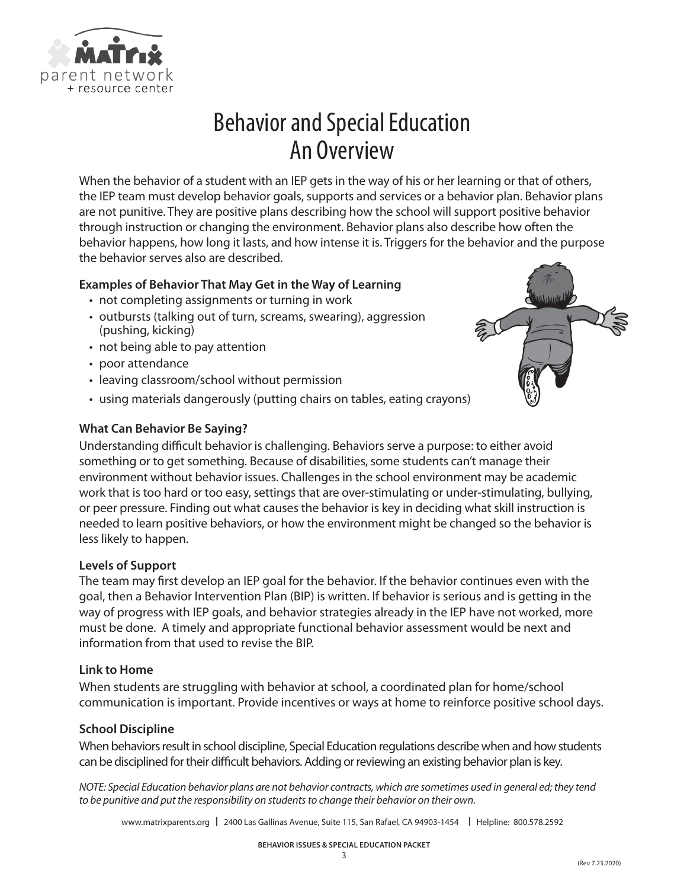

# Behavior and Special Education An Overview

When the behavior of a student with an IEP gets in the way of his or her learning or that of others, the IEP team must develop behavior goals, supports and services or a behavior plan. Behavior plans are not punitive. They are positive plans describing how the school will support positive behavior through instruction or changing the environment. Behavior plans also describe how often the behavior happens, how long it lasts, and how intense it is. Triggers for the behavior and the purpose the behavior serves also are described.

### **Examples of Behavior That May Get in the Way of Learning**

- not completing assignments or turning in work
- outbursts (talking out of turn, screams, swearing), aggression (pushing, kicking)
- not being able to pay attention
- poor attendance
- leaving classroom/school without permission
- using materials dangerously (putting chairs on tables, eating crayons)

### **What Can Behavior Be Saying?**

Understanding difficult behavior is challenging. Behaviors serve a purpose: to either avoid something or to get something. Because of disabilities, some students can't manage their environment without behavior issues. Challenges in the school environment may be academic work that is too hard or too easy, settings that are over-stimulating or under-stimulating, bullying, or peer pressure. Finding out what causes the behavior is key in deciding what skill instruction is needed to learn positive behaviors, or how the environment might be changed so the behavior is less likely to happen.

### **Levels of Support**

The team may first develop an IEP goal for the behavior. If the behavior continues even with the goal, then a Behavior Intervention Plan (BIP) is written. If behavior is serious and is getting in the way of progress with IEP goals, and behavior strategies already in the IEP have not worked, more must be done. A timely and appropriate functional behavior assessment would be next and information from that used to revise the BIP.

### **Link to Home**

When students are struggling with behavior at school, a coordinated plan for home/school communication is important. Provide incentives or ways at home to reinforce positive school days.

### **School Discipline**

When behaviors result in school discipline, Special Education regulations describe when and how students can be disciplined for their difficult behaviors. Adding or reviewing an existing behavior plan is key.

*NOTE: Special Education behavior plans are not behavior contracts, which are sometimes used in general ed; they tend to be punitive and put the responsibility on students to change their behavior on their own.* 

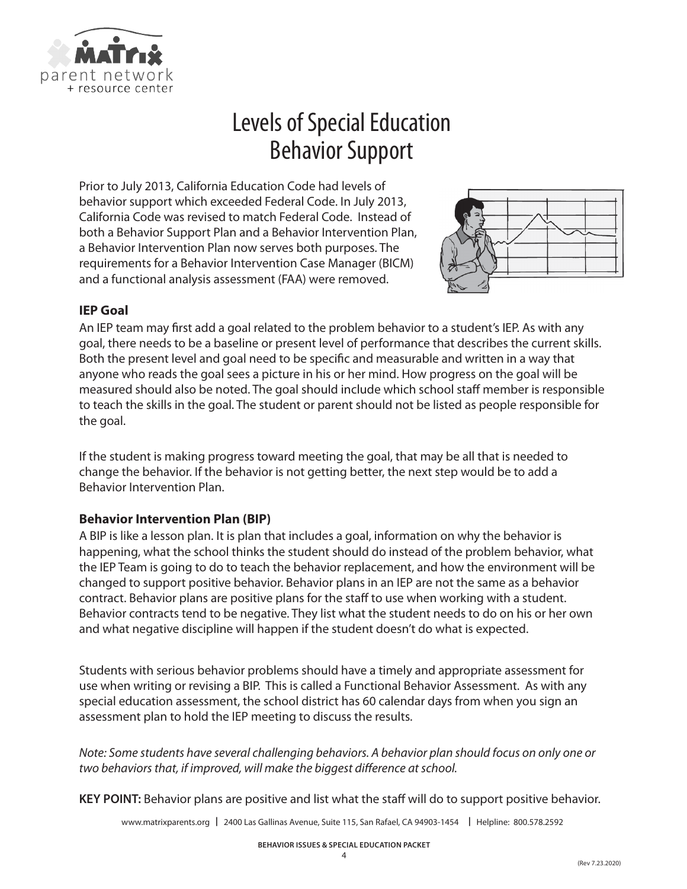

# Levels of Special Education Behavior Support

Prior to July 2013, California Education Code had levels of behavior support which exceeded Federal Code. In July 2013, California Code was revised to match Federal Code. Instead of both a Behavior Support Plan and a Behavior Intervention Plan, a Behavior Intervention Plan now serves both purposes. The requirements for a Behavior Intervention Case Manager (BICM) and a functional analysis assessment (FAA) were removed.



### **IEP Goal**

An IEP team may first add a goal related to the problem behavior to a student's IEP. As with any goal, there needs to be a baseline or present level of performance that describes the current skills. Both the present level and goal need to be specific and measurable and written in a way that anyone who reads the goal sees a picture in his or her mind. How progress on the goal will be measured should also be noted. The goal should include which school staff member is responsible to teach the skills in the goal. The student or parent should not be listed as people responsible for the goal.

If the student is making progress toward meeting the goal, that may be all that is needed to change the behavior. If the behavior is not getting better, the next step would be to add a Behavior Intervention Plan.

### **Behavior Intervention Plan (BIP)**

A BIP is like a lesson plan. It is plan that includes a goal, information on why the behavior is happening, what the school thinks the student should do instead of the problem behavior, what the IEP Team is going to do to teach the behavior replacement, and how the environment will be changed to support positive behavior. Behavior plans in an IEP are not the same as a behavior contract. Behavior plans are positive plans for the staff to use when working with a student. Behavior contracts tend to be negative. They list what the student needs to do on his or her own and what negative discipline will happen if the student doesn't do what is expected.

Students with serious behavior problems should have a timely and appropriate assessment for use when writing or revising a BIP. This is called a Functional Behavior Assessment. As with any special education assessment, the school district has 60 calendar days from when you sign an assessment plan to hold the IEP meeting to discuss the results.

*Note: Some students have several challenging behaviors. A behavior plan should focus on only one or two behaviors that, if improved, will make the biggest difference at school.*

**KEY POINT:** Behavior plans are positive and list what the staff will do to support positive behavior.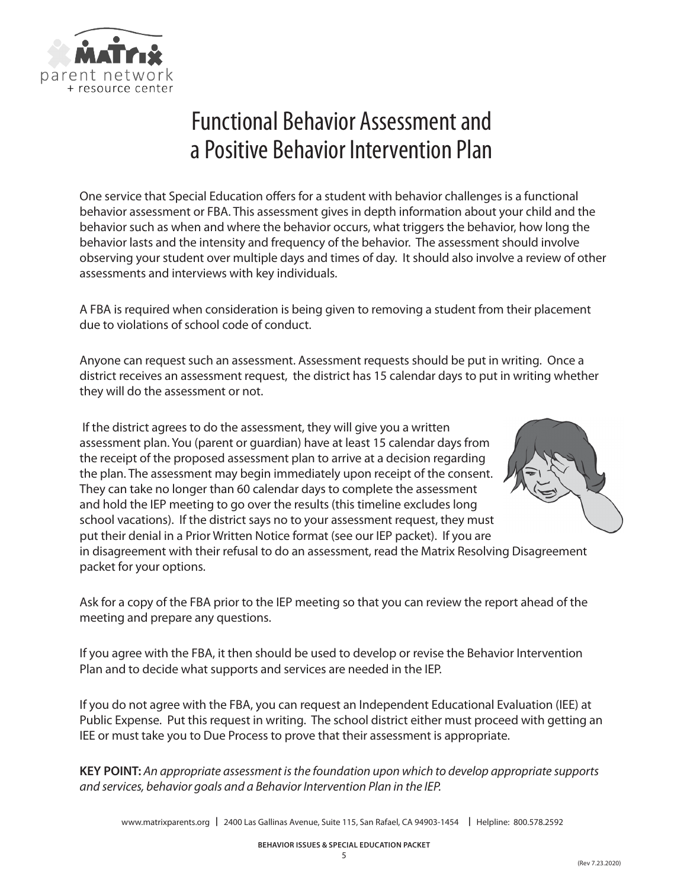

# Functional Behavior Assessment and a Positive Behavior Intervention Plan

One service that Special Education offers for a student with behavior challenges is a functional behavior assessment or FBA. This assessment gives in depth information about your child and the behavior such as when and where the behavior occurs, what triggers the behavior, how long the behavior lasts and the intensity and frequency of the behavior. The assessment should involve observing your student over multiple days and times of day. It should also involve a review of other assessments and interviews with key individuals.

A FBA is required when consideration is being given to removing a student from their placement due to violations of school code of conduct.

Anyone can request such an assessment. Assessment requests should be put in writing. Once a district receives an assessment request, the district has 15 calendar days to put in writing whether they will do the assessment or not.

 If the district agrees to do the assessment, they will give you a written assessment plan. You (parent or guardian) have at least 15 calendar days from the receipt of the proposed assessment plan to arrive at a decision regarding the plan. The assessment may begin immediately upon receipt of the consent. They can take no longer than 60 calendar days to complete the assessment and hold the IEP meeting to go over the results (this timeline excludes long school vacations). If the district says no to your assessment request, they must put their denial in a Prior Written Notice format (see our IEP packet). If you are



in disagreement with their refusal to do an assessment, read the Matrix Resolving Disagreement packet for your options.

Ask for a copy of the FBA prior to the IEP meeting so that you can review the report ahead of the meeting and prepare any questions.

If you agree with the FBA, it then should be used to develop or revise the Behavior Intervention Plan and to decide what supports and services are needed in the IEP.

If you do not agree with the FBA, you can request an Independent Educational Evaluation (IEE) at Public Expense. Put this request in writing. The school district either must proceed with getting an IEE or must take you to Due Process to prove that their assessment is appropriate.

**KEY POINT:** *An appropriate assessment is the foundation upon which to develop appropriate supports and services, behavior goals and a Behavior Intervention Plan in the IEP.*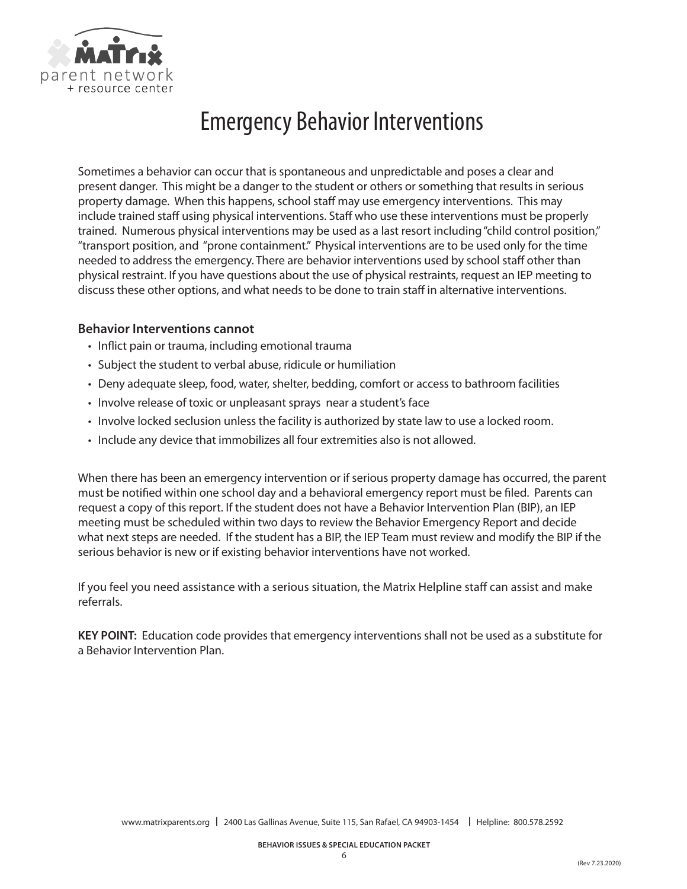

# Emergency Behavior Interventions

Sometimes a behavior can occur that is spontaneous and unpredictable and poses a clear and present danger. This might be a danger to the student or others or something that results in serious property damage. When this happens, school staff may use emergency interventions. This may include trained staff using physical interventions. Staff who use these interventions must be properly trained. Numerous physical interventions may be used as a last resort including "child control position," "transport position, and "prone containment." Physical interventions are to be used only for the time needed to address the emergency. There are behavior interventions used by school staff other than physical restraint. If you have questions about the use of physical restraints, request an IEP meeting to discuss these other options, and what needs to be done to train staff in alternative interventions.

### **Behavior Interventions cannot**

- Inflict pain or trauma, including emotional trauma
- Subject the student to verbal abuse, ridicule or humiliation
- Deny adequate sleep, food, water, shelter, bedding, comfort or access to bathroom facilities
- Involve release of toxic or unpleasant sprays near a student's face
- Involve locked seclusion unless the facility is authorized by state law to use a locked room.
- Include any device that immobilizes all four extremities also is not allowed.

When there has been an emergency intervention or if serious property damage has occurred, the parent must be notified within one school day and a behavioral emergency report must be filed. Parents can request a copy of this report. If the student does not have a Behavior Intervention Plan (BIP), an IEP meeting must be scheduled within two days to review the Behavior Emergency Report and decide what next steps are needed. If the student has a BIP, the IEP Team must review and modify the BIP if the serious behavior is new or if existing behavior interventions have not worked.

If you feel you need assistance with a serious situation, the Matrix Helpline staff can assist and make referrals.

**KEY POINT:** Education code provides that emergency interventions shall not be used as a substitute for a Behavior Intervention Plan.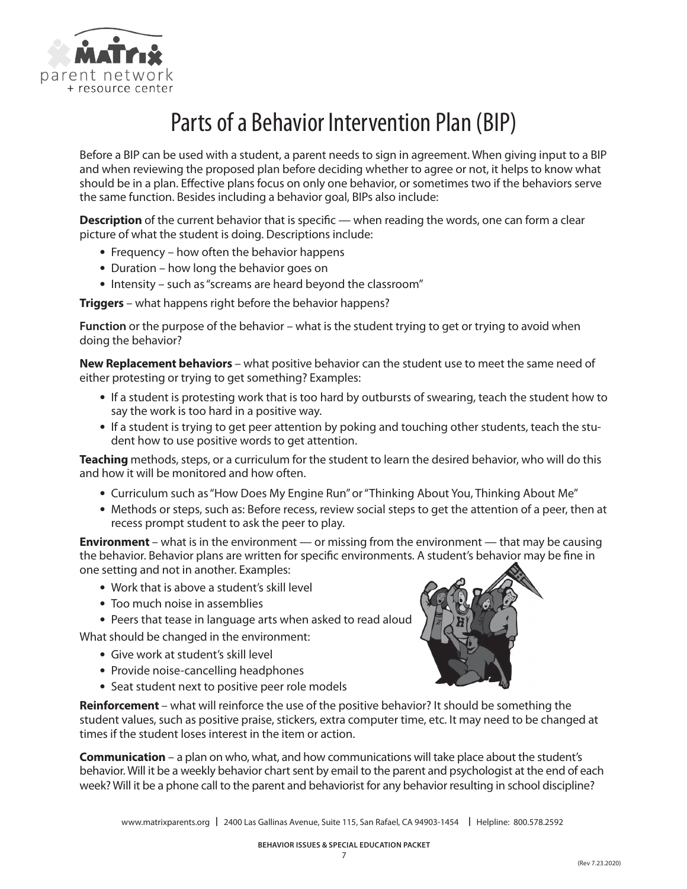

# Parts of a Behavior Intervention Plan (BIP)

Before a BIP can be used with a student, a parent needs to sign in agreement. When giving input to a BIP and when reviewing the proposed plan before deciding whether to agree or not, it helps to know what should be in a plan. Effective plans focus on only one behavior, or sometimes two if the behaviors serve the same function. Besides including a behavior goal, BIPs also include:

**Description** of the current behavior that is specific — when reading the words, one can form a clear picture of what the student is doing. Descriptions include:

- **•** Frequency how often the behavior happens
- **•** Duration how long the behavior goes on
- **•** Intensity such as "screams are heard beyond the classroom"

**Triggers** – what happens right before the behavior happens?

**Function** or the purpose of the behavior – what is the student trying to get or trying to avoid when doing the behavior?

**New Replacement behaviors** – what positive behavior can the student use to meet the same need of either protesting or trying to get something? Examples:

- **•** If a student is protesting work that is too hard by outbursts of swearing, teach the student how to say the work is too hard in a positive way.
- **•** If a student is trying to get peer attention by poking and touching other students, teach the student how to use positive words to get attention.

**Teaching** methods, steps, or a curriculum for the student to learn the desired behavior, who will do this and how it will be monitored and how often.

- **•** Curriculum such as "How Does My Engine Run" or "Thinking About You, Thinking About Me"
- **•** Methods or steps, such as: Before recess, review social steps to get the attention of a peer, then at recess prompt student to ask the peer to play.

**Environment** – what is in the environment — or missing from the environment — that may be causing the behavior. Behavior plans are written for specific environments. A student's behavior may be fine in one setting and not in another. Examples:

- **•** Work that is above a student's skill level
- **•** Too much noise in assemblies
- **•** Peers that tease in language arts when asked to read aloud

What should be changed in the environment:

- **•** Give work at student's skill level
- **•** Provide noise-cancelling headphones
- **•** Seat student next to positive peer role models

**Reinforcement** – what will reinforce the use of the positive behavior? It should be something the student values, such as positive praise, stickers, extra computer time, etc. It may need to be changed at times if the student loses interest in the item or action.

**Communication** – a plan on who, what, and how communications will take place about the student's behavior. Will it be a weekly behavior chart sent by email to the parent and psychologist at the end of each week? Will it be a phone call to the parent and behaviorist for any behavior resulting in school discipline?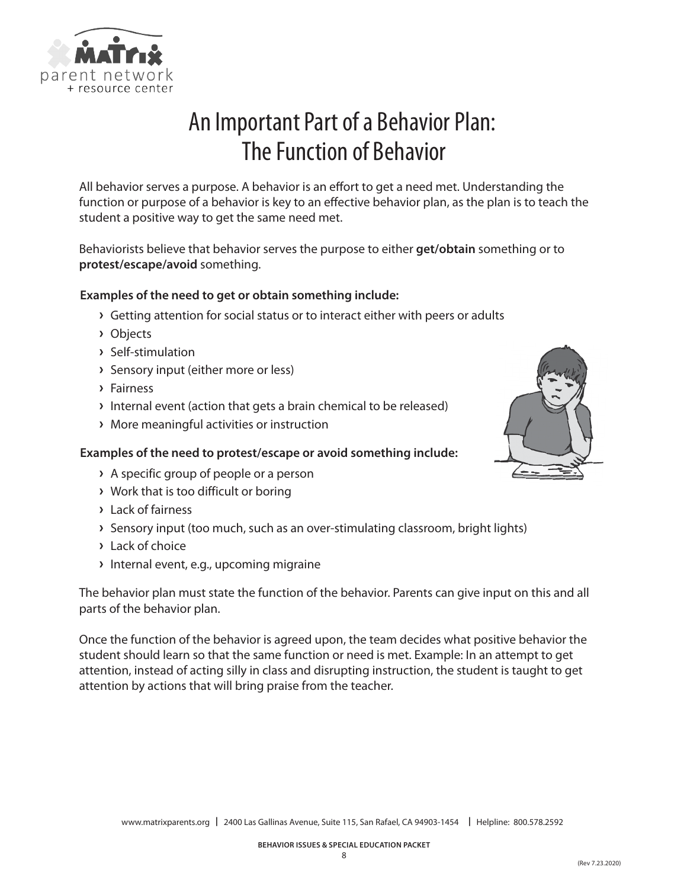

# An Important Part of a Behavior Plan: The Function of Behavior

All behavior serves a purpose. A behavior is an effort to get a need met. Understanding the function or purpose of a behavior is key to an effective behavior plan, as the plan is to teach the student a positive way to get the same need met.

Behaviorists believe that behavior serves the purpose to either **get/obtain** something or to **protest/escape/avoid** something.

### **Examples of the need to get or obtain something include:**

- **›** Getting attention for social status or to interact either with peers or adults
- **›** Objects
- **›** Self-stimulation
- **›** Sensory input (either more or less)
- **›** Fairness
- **›** Internal event (action that gets a brain chemical to be released)
- **›** More meaningful activities or instruction

### **Examples of the need to protest/escape or avoid something include:**

- **›** A specific group of people or a person
- **›** Work that is too difficult or boring
- **›** Lack of fairness
- **›** Sensory input (too much, such as an over-stimulating classroom, bright lights)
- **›** Lack of choice
- **›** Internal event, e.g., upcoming migraine

The behavior plan must state the function of the behavior. Parents can give input on this and all parts of the behavior plan.

Once the function of the behavior is agreed upon, the team decides what positive behavior the student should learn so that the same function or need is met. Example: In an attempt to get attention, instead of acting silly in class and disrupting instruction, the student is taught to get attention by actions that will bring praise from the teacher.

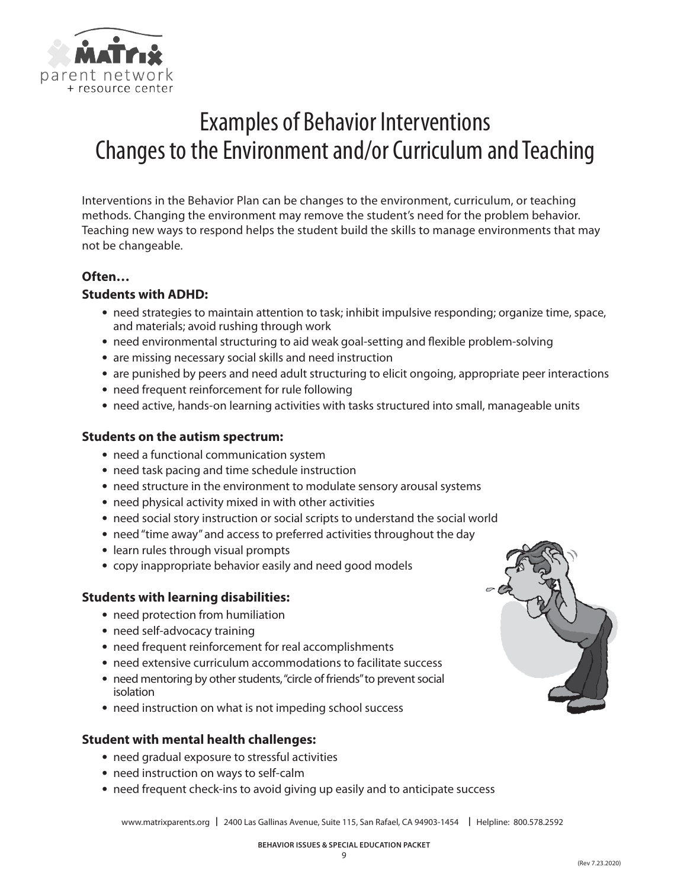

# Examples of Behavior Interventions Changes to the Environment and/or Curriculum and Teaching

Interventions in the Behavior Plan can be changes to the environment, curriculum, or teaching methods. Changing the environment may remove the student's need for the problem behavior. Teaching new ways to respond helps the student build the skills to manage environments that may not be changeable.

### **Often…**

### **Students with ADHD:**

- **•** need strategies to maintain attention to task; inhibit impulsive responding; organize time, space, and materials; avoid rushing through work
- **•** need environmental structuring to aid weak goal-setting and flexible problem-solving
- **•** are missing necessary social skills and need instruction
- **•** are punished by peers and need adult structuring to elicit ongoing, appropriate peer interactions
- **•** need frequent reinforcement for rule following
- **•** need active, hands-on learning activities with tasks structured into small, manageable units

### **Students on the autism spectrum:**

- **•** need a functional communication system
- **•** need task pacing and time schedule instruction
- **•** need structure in the environment to modulate sensory arousal systems
- **•** need physical activity mixed in with other activities
- **•** need social story instruction or social scripts to understand the social world
- **•** need "time away" and access to preferred activities throughout the day
- **•** learn rules through visual prompts
- **•** copy inappropriate behavior easily and need good models

### **Students with learning disabilities:**

- **•** need protection from humiliation
- **•** need self-advocacy training
- **•** need frequent reinforcement for real accomplishments
- **•** need extensive curriculum accommodations to facilitate success
- **•** need mentoring by other students, "circle of friends" to prevent social isolation
- **•** need instruction on what is not impeding school success

### **Student with mental health challenges:**

- **•** need gradual exposure to stressful activities
- **•** need instruction on ways to self-calm
- **•** need frequent check-ins to avoid giving up easily and to anticipate success

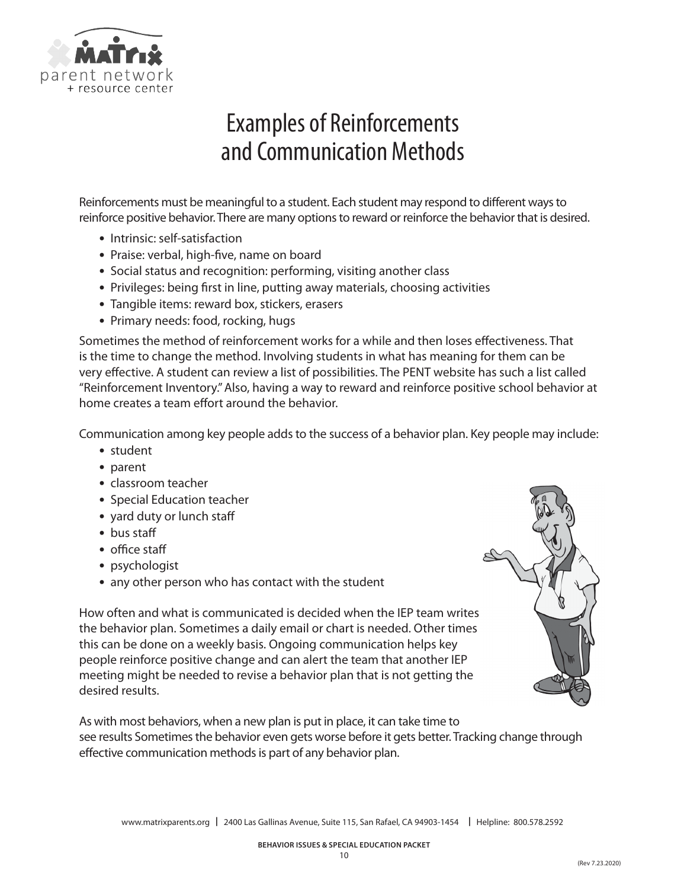

# Examples of Reinforcements and Communication Methods

Reinforcements must be meaningful to a student. Each student may respond to different ways to reinforce positive behavior. There are many options to reward or reinforce the behavior that is desired.

- **•** Intrinsic: self-satisfaction
- **•** Praise: verbal, high-five, name on board
- **•** Social status and recognition: performing, visiting another class
- **•** Privileges: being first in line, putting away materials, choosing activities
- **•** Tangible items: reward box, stickers, erasers
- **•** Primary needs: food, rocking, hugs

Sometimes the method of reinforcement works for a while and then loses effectiveness. That is the time to change the method. Involving students in what has meaning for them can be very effective. A student can review a list of possibilities. The PENT website has such a list called "Reinforcement Inventory." Also, having a way to reward and reinforce positive school behavior at home creates a team effort around the behavior.

Communication among key people adds to the success of a behavior plan. Key people may include:

- **•** student
- **•** parent
- **•** classroom teacher
- **•** Special Education teacher
- **•** yard duty or lunch staff
- **•** bus staff
- **•** office staff
- **•** psychologist
- **•** any other person who has contact with the student

How often and what is communicated is decided when the IEP team writes the behavior plan. Sometimes a daily email or chart is needed. Other times this can be done on a weekly basis. Ongoing communication helps key people reinforce positive change and can alert the team that another IEP meeting might be needed to revise a behavior plan that is not getting the desired results.



As with most behaviors, when a new plan is put in place, it can take time to see results Sometimes the behavior even gets worse before it gets better. Tracking change through effective communication methods is part of any behavior plan.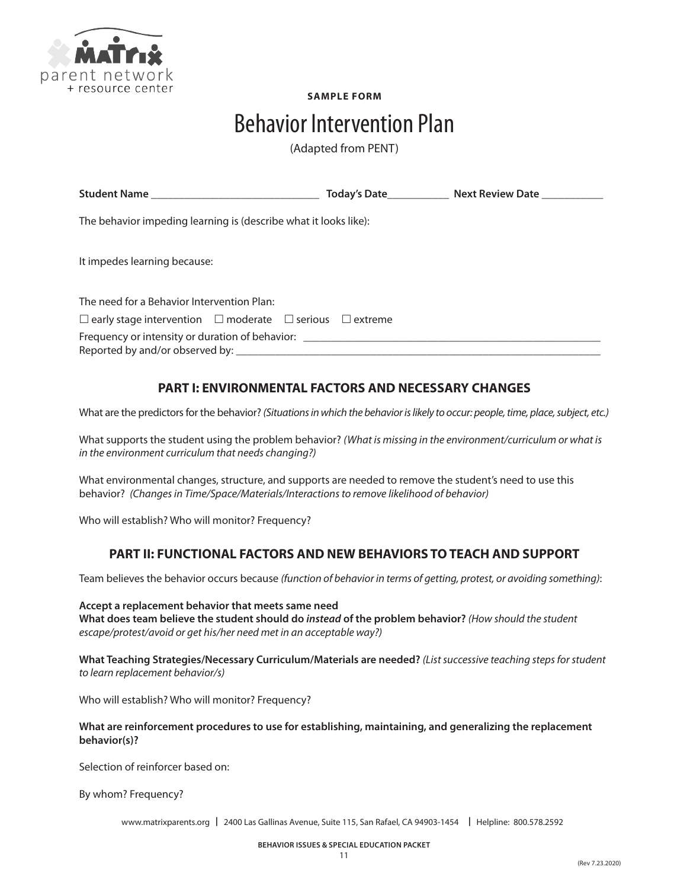

**SAMPLE FORM**

## Behavior Intervention Plan

(Adapted from PENT)

|                                                                                  | Today's Date <b>State Server Server State</b> Next Review Date |
|----------------------------------------------------------------------------------|----------------------------------------------------------------|
| The behavior impeding learning is (describe what it looks like):                 |                                                                |
| It impedes learning because:                                                     |                                                                |
| The need for a Behavior Intervention Plan:                                       |                                                                |
| $\Box$ early stage intervention $\Box$ moderate $\Box$ serious $\Box$ extreme    |                                                                |
| Frequency or intensity or duration of behavior: ________________________________ |                                                                |

### **PART I: ENVIRONMENTAL FACTORS AND NECESSARY CHANGES**

What are the predictors for the behavior? *(Situations in which the behavior is likely to occur: people, time, place, subject, etc.)*

What supports the student using the problem behavior? *(What is missing in the environment/curriculum or what is in the environment curriculum that needs changing?)*

What environmental changes, structure, and supports are needed to remove the student's need to use this behavior? *(Changes in Time/Space/Materials/Interactions to remove likelihood of behavior)*

Who will establish? Who will monitor? Frequency?

### **PART II: FUNCTIONAL FACTORS AND NEW BEHAVIORS TO TEACH AND SUPPORT**

Team believes the behavior occurs because *(function of behavior in terms of getting, protest, or avoiding something)*:

**Accept a replacement behavior that meets same need What does team believe the student should do** *instead* **of the problem behavior?** *(How should the student escape/protest/avoid or get his/her need met in an acceptable way?)*

**What Teaching Strategies/Necessary Curriculum/Materials are needed?** *(List successive teaching steps for student to learn replacement behavior/s)*

Who will establish? Who will monitor? Frequency?

**What are reinforcement procedures to use for establishing, maintaining, and generalizing the replacement behavior(s)?**

Selection of reinforcer based on:

By whom? Frequency?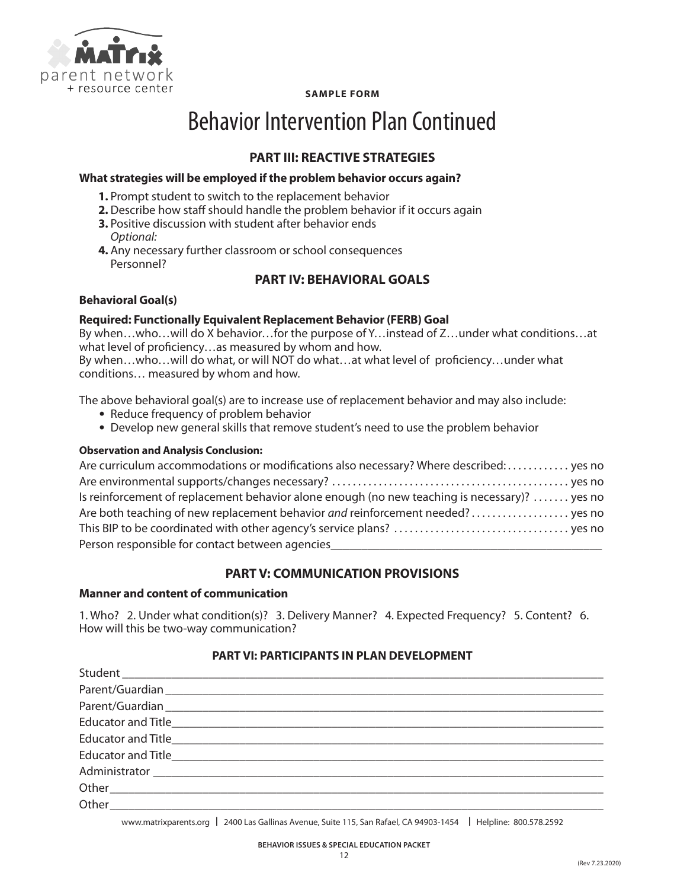

**SAMPLE FORM**

# Behavior Intervention Plan Continued

### **PART III: REACTIVE STRATEGIES**

### **What strategies will be employed if the problem behavior occurs again?**

- **1.** Prompt student to switch to the replacement behavior
- **2.** Describe how staff should handle the problem behavior if it occurs again
- **3.** Positive discussion with student after behavior ends *Optional:*
- **4.** Any necessary further classroom or school consequences Personnel?

### **PART IV: BEHAVIORAL GOALS**

### **Behavioral Goal(s)**

### **Required: Functionally Equivalent Replacement Behavior (FERB) Goal**

By when…who…will do X behavior…for the purpose of Y…instead of Z…under what conditions…at what level of proficiency…as measured by whom and how.

By when…who…will do what, or will NOT do what…at what level of proficiency…under what conditions… measured by whom and how.

The above behavioral goal(s) are to increase use of replacement behavior and may also include:

- **•** Reduce frequency of problem behavior
- **•** Develop new general skills that remove student's need to use the problem behavior

### **Observation and Analysis Conclusion:**

| Are curriculum accommodations or modifications also necessary? Where described:  yes no       |  |
|-----------------------------------------------------------------------------------------------|--|
|                                                                                               |  |
| Is reinforcement of replacement behavior alone enough (no new teaching is necessary)?  yes no |  |
| Are both teaching of new replacement behavior and reinforcement needed?  yes no               |  |
|                                                                                               |  |
| Person responsible for contact between agencies                                               |  |

### **PART V: COMMUNICATION PROVISIONS**

### **Manner and content of communication**

1. Who? 2. Under what condition(s)? 3. Delivery Manner? 4. Expected Frequency? 5. Content? 6. How will this be two-way communication?

### **PART VI: PARTICIPANTS IN PLAN DEVELOPMENT**

| Student et al. 2003 and 2004 and 2006 and 2007 and 2008 and 2008 and 2008 and 2008 and 2008 and 200                                             |
|-------------------------------------------------------------------------------------------------------------------------------------------------|
|                                                                                                                                                 |
|                                                                                                                                                 |
| Educator and Title <b>Education</b> and Title <b>Education</b> and Title <b>Education</b> and Title <b>Education</b> and Title <b>Education</b> |
|                                                                                                                                                 |
|                                                                                                                                                 |
|                                                                                                                                                 |
|                                                                                                                                                 |
|                                                                                                                                                 |
|                                                                                                                                                 |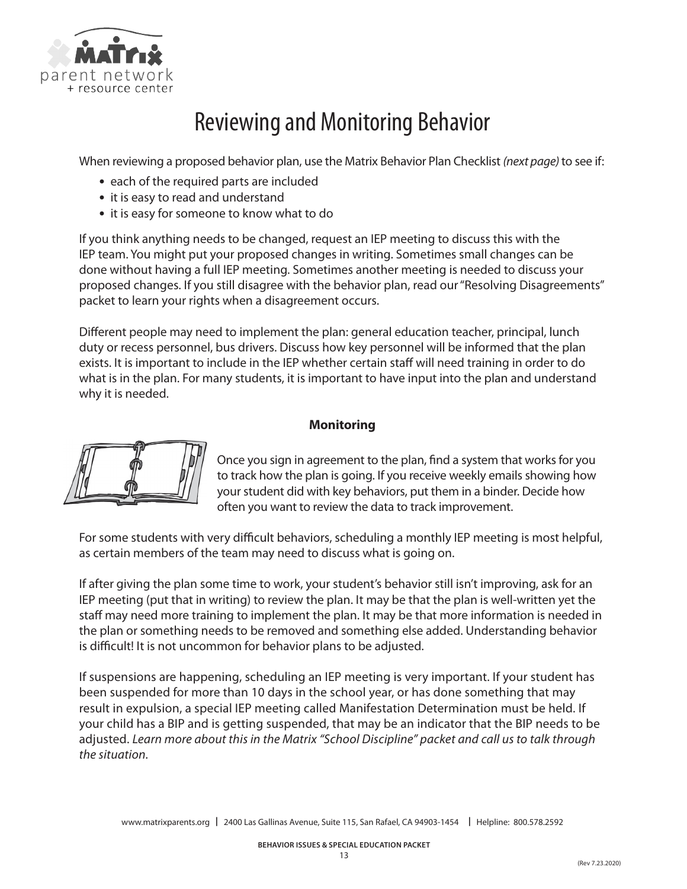

# Reviewing and Monitoring Behavior

When reviewing a proposed behavior plan, use the Matrix Behavior Plan Checklist *(next page)* to see if:

- **•** each of the required parts are included
- **•** it is easy to read and understand
- **•** it is easy for someone to know what to do

If you think anything needs to be changed, request an IEP meeting to discuss this with the IEP team. You might put your proposed changes in writing. Sometimes small changes can be done without having a full IEP meeting. Sometimes another meeting is needed to discuss your proposed changes. If you still disagree with the behavior plan, read our "Resolving Disagreements" packet to learn your rights when a disagreement occurs.

Different people may need to implement the plan: general education teacher, principal, lunch duty or recess personnel, bus drivers. Discuss how key personnel will be informed that the plan exists. It is important to include in the IEP whether certain staff will need training in order to do what is in the plan. For many students, it is important to have input into the plan and understand why it is needed.

### **Monitoring**



Once you sign in agreement to the plan, find a system that works for you to track how the plan is going. If you receive weekly emails showing how your student did with key behaviors, put them in a binder. Decide how often you want to review the data to track improvement.

For some students with very difficult behaviors, scheduling a monthly IEP meeting is most helpful, as certain members of the team may need to discuss what is going on.

If after giving the plan some time to work, your student's behavior still isn't improving, ask for an IEP meeting (put that in writing) to review the plan. It may be that the plan is well-written yet the staff may need more training to implement the plan. It may be that more information is needed in the plan or something needs to be removed and something else added. Understanding behavior is difficult! It is not uncommon for behavior plans to be adjusted.

If suspensions are happening, scheduling an IEP meeting is very important. If your student has been suspended for more than 10 days in the school year, or has done something that may result in expulsion, a special IEP meeting called Manifestation Determination must be held. If your child has a BIP and is getting suspended, that may be an indicator that the BIP needs to be adjusted. *Learn more about this in the Matrix "School Discipline" packet and call us to talk through the situation.*